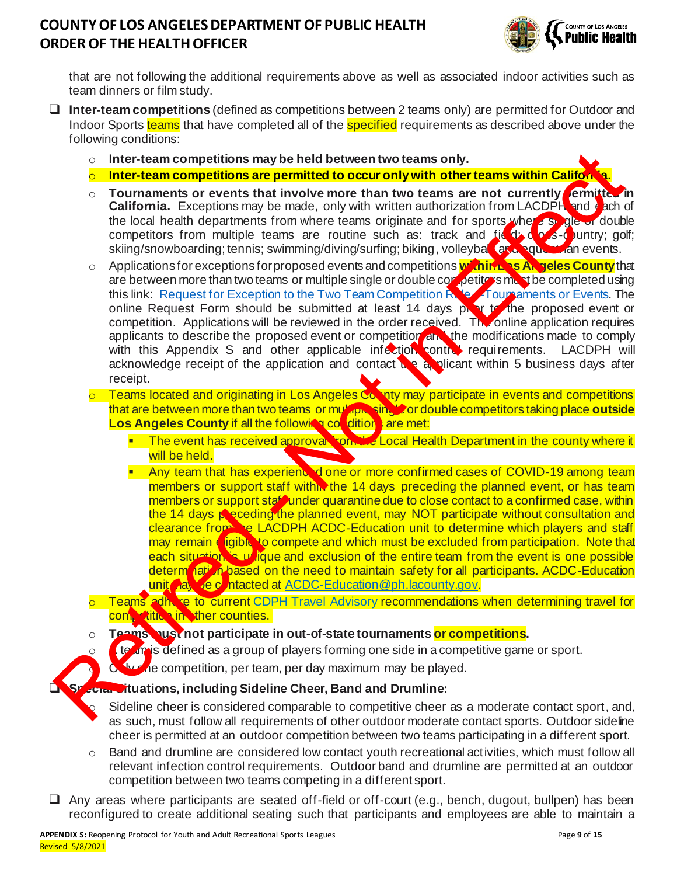

that are not following the additional requirements above as well as associated indoor activities such as team dinners or film study.

- ❑ **Inter-team competitions** (defined as competitions between 2 teams only) are permitted for Outdoor and Indoor Sports teams that have completed all of the specified requirements as described above under the following conditions:
	- o **Inter-team competitions may be held between two teams only.**
	- o **Inter-team competitions are permitted to occur only with other teams within California.**
	- o **Tournaments or events that involve more than two teams are not currently ermitted in California.** Exceptions may be made, only with written authorization from LACDPH and **ca**ch of the local health departments from where teams originate and for sports where single or double competitors from multiple teams are routine such as: track and  $f_1$   $\leftarrow$   $\leftarrow$   $\leftarrow$   $\leftarrow$   $\leftarrow$   $\leftarrow$   $\leftarrow$   $\leftarrow$   $\leftarrow$   $\leftarrow$   $\leftarrow$   $\leftarrow$   $\leftarrow$   $\leftarrow$   $\leftarrow$   $\leftarrow$   $\leftarrow$   $\leftarrow$   $\leftarrow$   $\leftarrow$   $\leftarrow$   $\leftarrow$   $\leftarrow$   $\leftarrow$   $\leftarrow$   $\$ skiing/snowboarding; tennis; swimming/diving/surfing; biking, volleyball, axis, questran events.
- Applications for exceptions for proposed events and competitions **within Los Angeles County** that are between more than two teams or multiple single or double competitors must be completed using this link: Request for Exception to the Two Team Competition Rule—Tournaments or Events. The online Request Form should be submitted at least 14 days protot to the proposed event or competition. Applications will be reviewed in the order received. The online application requires applicants to describe the proposed event or competition and the modifications made to comply with this Appendix S and other applicable infection control requirements. LACDPH will acknowledge receipt of the application and contact the applicant within 5 business days after receipt. and the team connections and be held between two teams as one of currentally and the connections are permitted to occur only with other teams within California<br>
To unraments or events that involve move than two teams are n
	- Teams located and originating in Los Angeles County may participate in events and competitions that are between more than two teams or multiple single or double competitors taking place **outside Los Angeles County if all the following conditions are met:** 
		- The event has received approval from the Local Health Department in the county where it will be held.
		- **EXT** Any team that has experienced one or more confirmed cases of COVID-19 among team members or support staff within the 14 days preceding the planned event, or has team members or support staff under quarantine due to close contact to a confirmed case, within the 14 days preceding the planned event, may NOT participate without consultation and clearance from the LACDPH ACDC-Education unit to determine which players and staff may remain eligible to compete and which must be excluded from participation. Note that each situation is unique and exclusion of the entire team from the event is one possible determ nation based on the need to maintain safety for all participants. ACDC-Education unit a vector has a ACDC-Education@ph.lacounty.gov.
	- o Teams adhere to current CDPH Travel Advisory recommendations when determining travel for competition in the counties.
	- o **Teams must not participate in out-of-state tournaments or competitions.**
	- o **A** te an is defined as a group of players forming one side in a competitive game or sport.
		- Only one competition, per team, per day maximum may be played.

#### ❑ **Special Situations, including Sideline Cheer, Band and Drumline:**

Sideline cheer is considered comparable to competitive cheer as a moderate contact sport, and, as such, must follow all requirements of other outdoor moderate contact sports. Outdoor sideline cheer is permitted at an outdoor competition between two teams participating in a different sport.

- $\circ$  Band and drumline are considered low contact youth recreational activities, which must follow all relevant infection control requirements. Outdoor band and drumline are permitted at an outdoor competition between two teams competing in a different sport.
- ❑ Any areas where participants are seated off-field or off-court (e.g., bench, dugout, bullpen) has been reconfigured to create additional seating such that participants and employees are able to maintain a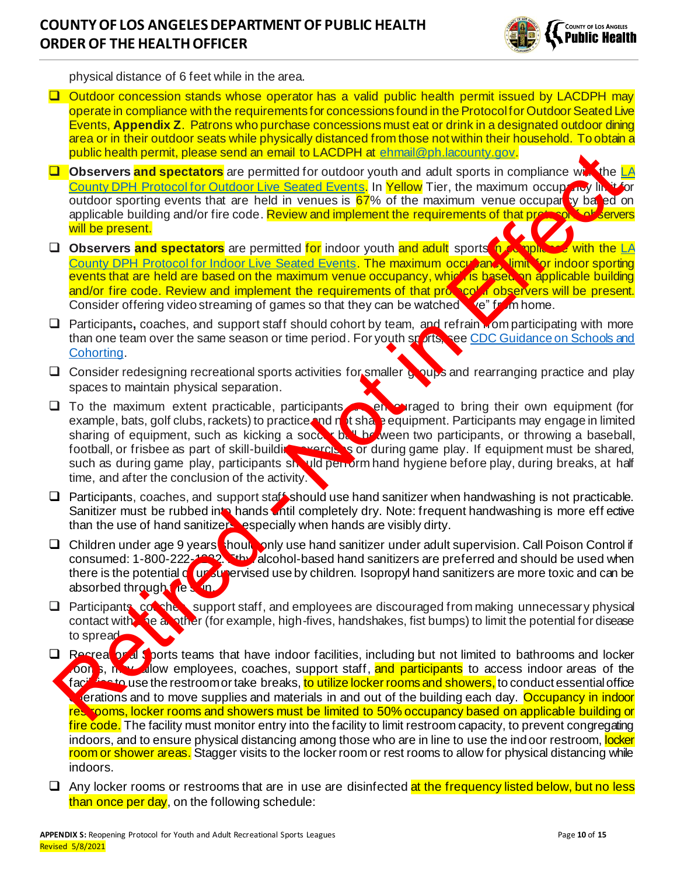

physical distance of 6 feet while in the area.

- ❑ Outdoor concession stands whose operator has a valid public health permit issued by LACDPH may operate in compliance with the requirements for concessions found in the Protocol for Outdoor Seated Live Events, **Appendix Z**. Patrons who purchase concessions must eat or drink in a designated outdoor dining area or in their outdoor seats while physically distanced from those not within their household. To obtain a public health permit, please send an email to LACDPH at ehmail@ph.lacounty.gov.
- ❑ **Observers and spectators** are permitted for outdoor youth and adult sports in compliance with the [LA](http://publichealth.lacounty.gov/media/Coronavirus/docs/protocols/Reopening_LiveOutdoorEvents.pdf)  County DPH Protocol for Outdoor Live Seated Events. In Yellow Tier, the maximum occupancy lim outdoor sporting events that are held in venues is 67% of the maximum venue occuparty based on applicable building and/or fire code. Review and implement the requirements of that protocol is observers will be present.
- □ Observers and spectators are permitted for indoor youth and adult sports in compliance with the LA County DPH Protocol for Indoor Live Seated Events. The maximum occupant, limit for indoor sporting events that are held are based on the maximum venue occupancy, which is based on applicable building and/or fire code. Review and implement the requirements of that protocol if observers will be present. Consider offering video streaming of games so that they can be watched  $\mathbf{e}^*$  from home.
- □ Participants, coaches, and support staff should cohort by team, and refrain **Momparticipating with more** than one team over the same season or time period. For youth sports, see CDC Guidance on Schools and Cohorting.
- □ Consider redesigning recreational sports activities for smaller groups and rearranging practice and play spaces to maintain physical separation.
- □ To the maximum extent practicable, participants encouraged to bring their own equipment (for example, bats, golf clubs, rackets) to practice and not share equipment. Participants may engage in limited sharing of equipment, such as kicking a soccer ball between two participants, or throwing a baseball, football, or frisbee as part of skill-building exercises or during game play. If equipment must be shared, such as during game play, participants should pen orm hand hygiene before play, during breaks, at half time, and after the conclusion of the activity. **Public health permit is also fort all contained and contained in the second of the second of the contained by the local contains and to meet the second fort and the permit in the second for the second fort in the second f**
- ❑ Participants, coaches, and support staff should use hand sanitizer when handwashing is not practicable. Sanitizer must be rubbed into hands intil completely dry. Note: frequent handwashing is more eff ective than the use of hand sanitizers, especially when hands are visibly dirty.
- □ Children under age 9 years should only use hand sanitizer under adult supervision. Call Poison Control if consumed: 1-800-222-1232. Ethyl alcohol-based hand sanitizers are preferred and should be used when there is the potential of unsupervised use by children. Isopropyl hand sanitizers are more toxic and can be absorbed through the skin.
- □ Participants, comches, support staff, and employees are discouraged from making unnecessary physical contact with  $\alpha$  be an other (for example, high-fives, handshakes, fist bumps) to limit the potential for disease to spread.
- □ Recreational Sports teams that have indoor facilities, including but not limited to bathrooms and locker oon s, may allow employees, coaches, support staff, and participants to access indoor areas of the facilities to use the restroom or take breaks, <mark>to utilize locker rooms and showers,</mark> to conduct essential office erations and to move supplies and materials in and out of the building each day. Occupancy in indoor restrooms, locker rooms and showers must be limited to 50% occupancy based on applicable building or fire code. The facility must monitor entry into the facility to limit restroom capacity, to prevent congregating indoors, and to ensure physical distancing among those who are in line to use the indoor restroom, locker room or shower areas. Stagger visits to the locker room or rest rooms to allow for physical distancing while indoors.
- $\Box$  Any locker rooms or restrooms that are in use are disinfected at the frequency listed below, but no less than once per day, on the following schedule: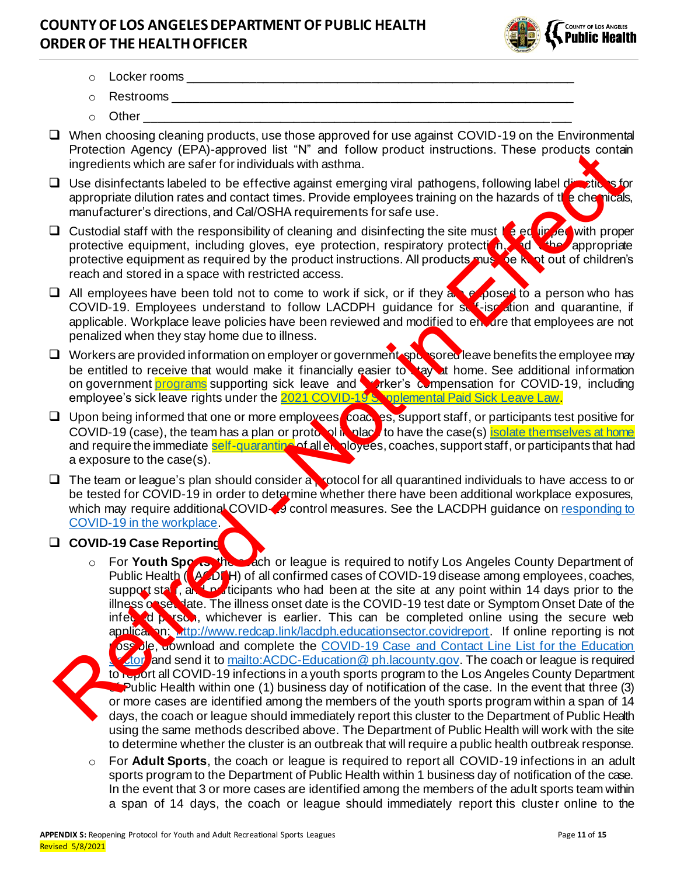

- $\circ$  Locker rooms
- o **Restrooms \_\_\_\_\_\_\_\_\_\_\_\_\_\_\_\_\_\_\_\_\_**
- $\circ$  Other
- ❑ When choosing cleaning products, use those approved for use against COVID-19 on the Environmental Protection Agency (EPA)-approved list "N" and follow product instructions. These products contain ingredients which are safer for individuals with asthma.
- □ Use disinfectants labeled to be effective against emerging viral pathogens, following label directions for appropriate dilution rates and contact times. Provide employees training on the hazards of the chemicals, manufacturer's directions, and Cal/OSHA requirements for safe use.
- □ Custodial staff with the responsibility of cleaning and disinfecting the site must be equipped with proper protective equipment, including gloves, eye protection, respiratory protection, and the appropriate protective equipment as required by the product instructions. All products must be kept out of children's reach and stored in a space with restricted access.
- $\Box$  All employees have been told not to come to work if sick, or if they are exposed to a person who has COVID-19. Employees understand to follow LACDPH guidance for self-isolation and quarantine, if applicable. Workplace leave policies have been reviewed and modified to enture that employees are not penalized when they stay home due to illness.
- □ Workers are provided information on employer or government-sponsored leave benefits the employee may be entitled to receive that would make it financially easier to stay at home. See additional information on government **programs** supporting sick leave and worker's compensation for COVID-19, including employee's sick leave rights under the 2021 COVID-19 Supplemental Paid Sick Leave Law.
- □ Upon being informed that one or more employees coaches, support staff, or participants test positive for COVID-19 (case), the team has a plan or protocol in place to have the case(s) isolate themselves at home and require the immediate self-quarantine of all enployees, coaches, support staff, or participants that had a exposure to the case(s).
- ❑ The team or league's plan should consider a protocol for all quarantined individuals to have access to or be tested for COVID-19 in order to determine whether there have been additional workplace exposures, which may require additional COVID-4 control measures. See the LACDPH guidance on responding to COVID-19 in the workplace.

### ❑ **COVID-19 Case Reporting:**

- o For **Youth Sports**, the coach or league is required to notify Los Angeles County Department of Public Health (LACDPH) of all confirmed cases of COVID-19 disease among employees, coaches, support staff, and participants who had been at the site at any point within 14 days prior to the illness onset date. The illness onset date is the COVID-19 test date or Symptom Onset Date of the infected person, whichever is earlier. This can be completed online using the secure web application: http://www.redcap.link/lacdph.educationsector.covidreport. If online reporting is not pse ble, download and complete the COVID-19 Case and Contact Line List for the Education A tor and send it to mailto:ACDC-Education@ ph.lacounty.gov. The coach or league is required to report all COVID-19 infections in a youth sports program to the Los Angeles County Department Public Health within one (1) business day of notification of the case. In the event that three (3) or more cases are identified among the members of the youth sports program within a span of 14 days, the coach or league should immediately report this cluster to the Department of Public Health using the same methods described above. The Department of Public Health will work with the site to determine whether the cluster is an outbreak that will require a public health outbreak response. Protection an[d](http://www.ph.lacounty.gov/media/Coronavirus/docs/business/GuidanceWorkplaceResponse.pdf) the rest of the transmission of the rest of the rest of the rest of the rest of the rest of the rest of the rest of the rest of the rest of the rest of the rest of the rest of the rest of the rest of the res
	- For Adult Sports, the coach or league is required to report all COVID-19 infections in an adult sports program to the Department of Public Health within 1 business day of notification of the case. In the event that 3 or more cases are identified among the members of the adult sports team within a span of 14 days, the coach or league should immediately report this cluster online to the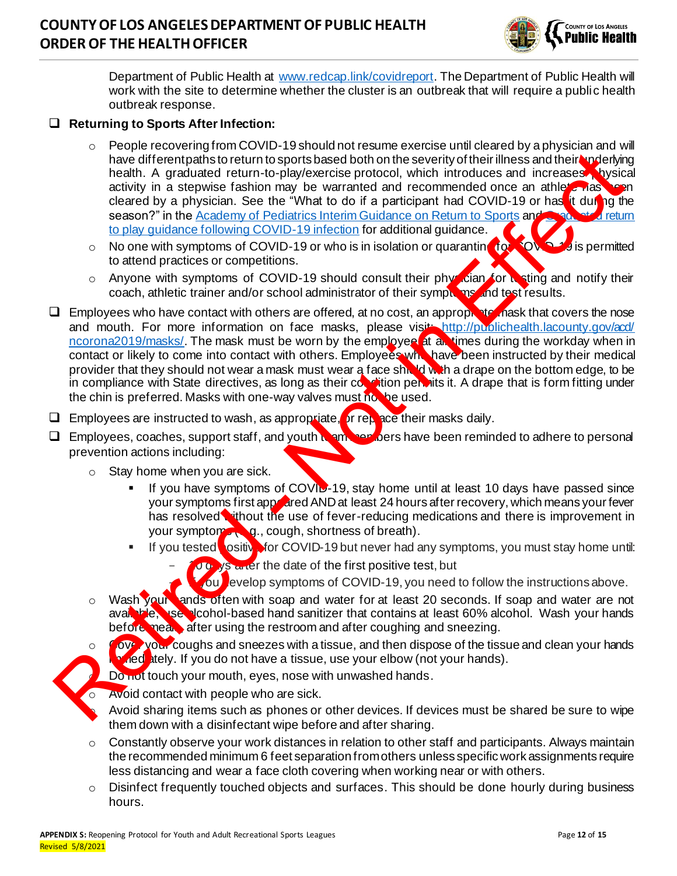

Department of Public Health at [www.redcap.link/covidreport](http://www.redcap.link/covidreport). The Department of Public Health will work with the site to determine whether the cluster is an outbreak that will require a public health outbreak response.

#### ❑ **Returning to Sports After Infection:**

- $\circ$  People recovering from COVID-19 should not resume exercise until cleared by a physician and will have different paths to return to sports based both on the severity of their illness and their underlying health. A graduated return-to-play/exercise protocol, which introduces and increases hysical activity in a stepwise fashion may be warranted and recommended once an athlete has been cleared by a physician. See the "What to do if a participant had COVID-19 or has it during the season?" in the Academy of Pediatrics Interim Guidance on Return to Sports and Graduated return to play guidance following COVID-19 infection for additional guidance.
- o No one with symptoms of COVID-19 or who is in isolation or quarantine for COVID-49 is permitted to attend practices or competitions.
- o Anyone with symptoms of COVID-19 should consult their physician for testing and notify their coach, athletic trainer and/or school administrator of their symptoms and test results.
- $\Box$  Employees who have contact with others are offered, at no cost, an appropriate mask that covers the nose and mouth. For more information on face masks, please visit: http://publichealth.lacounty.gov/acd/ ncorona2019/masks/. The mask must be worn by the employee at all times during the workday when in contact or likely to come into contact with others. Employees who have been instructed by their medical provider that they should not wear a mask must wear a face shipled with a drape on the bottom edge, to be in compliance with State directives, as long as their condition permits it. A drape that is form fitting under the chin is preferred. Masks with one-way valves must no be used. Final entropid in a strength since the second that the second that the second in the second in a strength o[f](https://services.aap.org/en/pages/2019-novel-coronavirus-covid-19-infections/clinical-guidance/covid-19-interim-guidance-return-to-sports/) the introduces and increases which in a strength of the introduces and increases which celerate by a physician. S
- $\Box$  Employees are instructed to wash, as appropriate, or replace their masks daily.
- $\Box$  Employees, coaches, support staff, and youth team members have been reminded to adhere to personal prevention actions including:
	- $\circ$  Stay home when you are sick.
		- If you have symptoms of COVID-19, stay home until at least 10 days have passed since your symptoms first appoared AND at least 24 hours after recovery, which means your fever has resolved without the use of fever-reducing medications and there is improvement in your symptom  $\mathbb{Q}_q$ , cough, shortness of breath).
		- **EXECT** if you tested ositivator COVID-19 but never had any symptoms, you must stay home until:
			- Job ys and the date of the first positive test, but
			- fou evelop symptoms of COVID-19, you need to follow the instructions above.
	- o Wash your ands often with soap and water for at least 20 seconds. If soap and water are not available, use alcohol-based hand sanitizer that contains at least 60% alcohol. Wash your hands before mean after using the restroom and after coughing and sneezing.
	- $\circ$  Cove your coughs and sneezes with a tissue, and then dispose of the tissue and clean your hands **hed** ately. If you do not have a tissue, use your elbow (not your hands).
		- Do not touch your mouth, eyes, nose with unwashed hands.
	- o Avoid contact with people who are sick.
	- Avoid sharing items such as phones or other devices. If devices must be shared be sure to wipe them down with a disinfectant wipe before and after sharing.
	- o Constantly observe your work distances in relation to other staff and participants. Always maintain the recommended minimum 6 feet separation from others unless specific work assignments require less distancing and wear a face cloth covering when working near or with others.
	- $\circ$  Disinfect frequently touched objects and surfaces. This should be done hourly during business hours.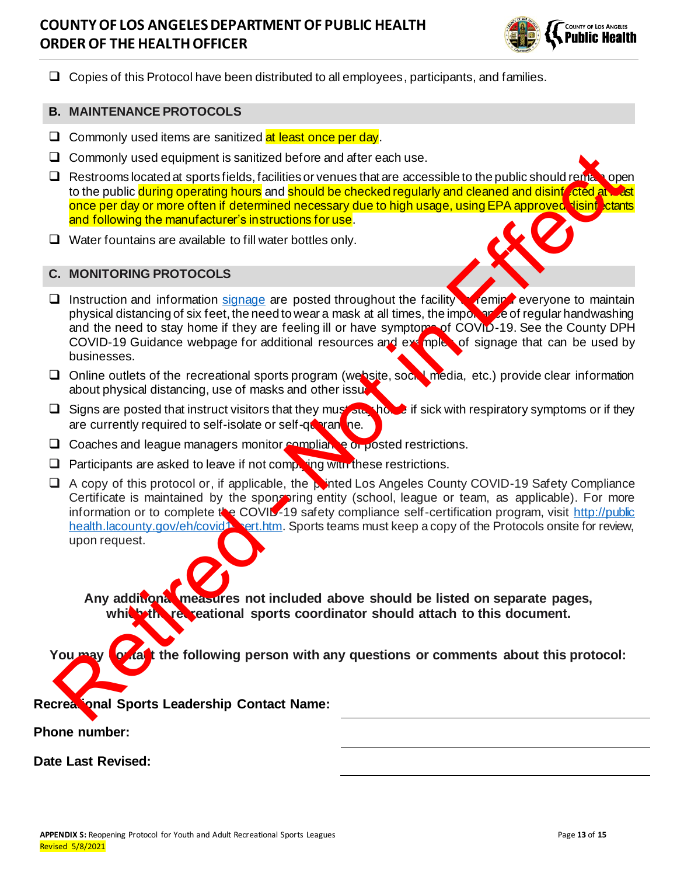

❑ Copies of this Protocol have been distributed to all employees, participants, and families.

#### **B. MAINTENANCE PROTOCOLS**

- $\Box$  Commonly used items are sanitized at least once per day.
- ❑ Commonly used equipment is sanitized before and after each use.
- $\Box$  Restrooms located at sports fields, facilities or venues that are accessible to the public should remain open to the public during operating hours and should be checked regularly and cleaned and disinfected at least once per day or more often if determined necessary due to high usage, using EPA approved Nisinfectants and following the manufacturer's instructions for use.
- ❑ Water fountains are available to fill water bottles only.

#### **C. MONITORING PROTOCOLS**



- □ Instruction and information signage are posted throughout the facility vermind everyone to maintain physical distancing of six feet, the need to wear a mask at all times, the importance of regular handwashing and the need to stay home if they are feeling ill or have symptoms of COVID-19. See the County DPH COVID-19 Guidance webpage for additional resources and examples of signage that can be used by businesses.
- ❑ Online outlets of the recreational sports program (website, social media, etc.) provide clear information about physical distancing, use of masks and other issue.
- □ Signs are posted that instruct visitors that they must stay home if sick with respiratory symptoms or if they are currently required to self-isolate or self-quarantine.
- □ Coaches and league managers monitor compliance or posted restrictions.
- $\Box$  Participants are asked to leave if not completing with these restrictions.
- ❑ A copy of this protocol or, if applicable, the printed Los Angeles County COVID-19 Safety Compliance Certificate is maintained by the spongoring entity (school, league or team, as applicable). For more information or to complete the COVID-19 safety compliance self-certification program, visit http://public health.lacounty.gov/eh/covid<sup>1</sup> sert.htm. Sports teams must keep a copy of the Protocols onsite for review, upon request. D Concilient an[d](http://publichealth.lacounty.gov/eh/covid19cert.htm) league managers monitor angular control and the resolution of the Public should resolve the control and the public should be the control of the public should be the control of the public should be the publ

**Any additional measures not included above should be listed on separate pages, which the recreational sports coordinator should attach to this document.**

You may **contact** the following person with any questions or comments about this protocol:

**Recreational Sports Leadership Contact Name:**

**Phone number:**

**Date Last Revised:**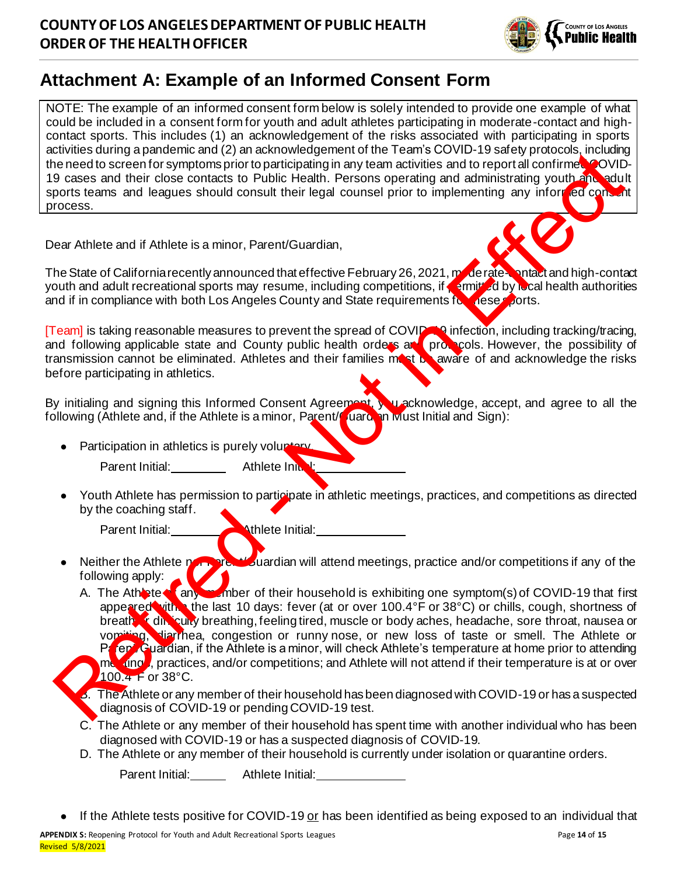

# **Attachment A: Example of an Informed Consent Form**

NOTE: The example of an informed consent form below is solely intended to provide one example of what could be included in a consent form for youth and adult athletes participating in moderate-contact and highcontact sports. This includes (1) an acknowledgement of the risks associated with participating in sports activities during a pandemic and (2) an acknowledgement of the Team's COVID-19 safety protocols, including the need to screen for symptoms prior to participating in any team activities and to report all confirmed COVID-19 cases and their close contacts to Public Health. Persons operating and administrating youth and adult sports teams and leagues should consult their legal counsel prior to implementing any informed consent process.

Dear Athlete and if Athlete is a minor, Parent/Guardian,

The State of California recently announced that effective February 26, 2021, moderate-contact and high-contact youth and adult recreational sports may resume, including competitions, if permitted by local health authorities and if in compliance with both Los Angeles County and State requirements for these sports.

[Team] is taking reasonable measures to prevent the spread of COVID-19 infection, including tracking/tracing, and following applicable state and County public health orders and protocols. However, the possibility of transmission cannot be eliminated. Athletes and their families mast be aware of and acknowledge the risks before participating in athletics.

By initialing and signing this Informed Consent Agreement, you acknowledge, accept, and agree to all the following (Athlete and, if the Athlete is a minor, Parent/Cuard, in wust Initial and Sign):

Participation in athletics is purely voluntary.

Parent Initial: Athlete Initial:

Youth Athlete has permission to participate in athletic meetings, practices, and competitions as directed by the coaching staff.

Parent Initial: **Athlete Initial:** 

- Neither the Athlete nor Parent/Guardian will attend meetings, practice and/or competitions if any of the following apply:
- A. The Athlete any more of their household is exhibiting one symptom(s) of COVID-19 that first appeared with the last 10 days: fever (at or over 100.4°F or 38°C) or chills, cough, shortness of breath of dinjeculty breathing, feeling tired, muscle or body aches, headache, sore throat, nausea or vomiting, diarrhea, congestion or runny nose, or new loss of taste or smell. The Athlete or Parent/Guardian, if the Athlete is a minor, will check Athlete's temperature at home prior to attending metrings, practices, and/or competitions; and Athlete will not attend if their temperature is at or over  $100.4$  F or 38 $^{\circ}$ C. Experience and their does can be a state to their house than the trains of the same of the state of the state of the state of the state of the state of the state of the state of the state of the state of the state of the s
	- 5. The Athlete or any member of their household has been diagnosed with COVID-19 or has a suspected diagnosis of COVID-19 or pending COVID-19 test.
	- C. The Athlete or any member of their household has spent time with another individual who has been diagnosed with COVID-19 or has a suspected diagnosis of COVID-19.
	- D. The Athlete or any member of their household is currently under isolation or quarantine orders.

Parent Initial: **Athlete Initial:** 

If the Athlete tests positive for COVID-19 or has been identified as being exposed to an individual that